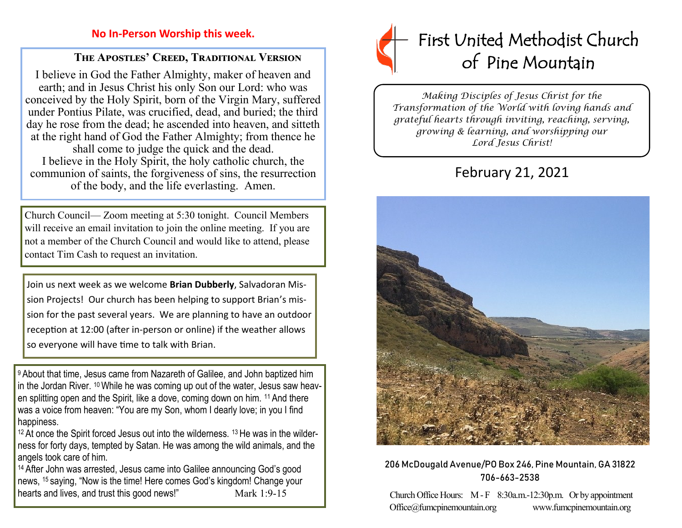# **No In-Person Worship this week.**

# **The Apostles' Creed, Traditional Version**

I believe in God the Father Almighty, maker of heaven and earth; and in Jesus Christ his only Son our Lord: who was conceived by the Holy Spirit, born of the Virgin Mary, suffered under Pontius Pilate, was crucified, dead, and buried; the third day he rose from the dead; he ascended into heaven, and sitteth at the right hand of God the Father Almighty; from thence he shall come to judge the quick and the dead. I believe in the Holy Spirit, the holy catholic church, the communion of saints, the forgiveness of sins, the resurrection of the body, and the life everlasting. Amen.

Church Council— Zoom meeting at 5:30 tonight. Council Members will receive an email invitation to join the online meeting. If you are not a member of the Church Council and would like to attend, please contact Tim Cash to request an invitation.

Join us next week as we welcome **Brian Dubberly**, Salvadoran Mission Projects! Our church has been helping to support Brian's mission for the past several years. We are planning to have an outdoor reception at 12:00 (after in-person or online) if the weather allows so everyone will have time to talk with Brian.

<sup>9</sup> About that time, Jesus came from Nazareth of Galilee, and John baptized him in the Jordan River. <sup>10</sup>While he was coming up out of the water, Jesus saw heaven splitting open and the Spirit, like a dove, coming down on him. <sup>11</sup> And there was a voice from heaven: "You are my Son, whom I dearly love; in you I find happiness.

<sup>12</sup> At once the Spirit forced Jesus out into the wilderness. <sup>13</sup> He was in the wilderness for forty days, tempted by Satan. He was among the wild animals, and the angels took care of him.

<sup>14</sup> After John was arrested, Jesus came into Galilee announcing God's good news, <sup>15</sup> saying, "Now is the time! Here comes God's kingdom! Change your hearts and lives, and trust this good news!" Mark 1:9-15



*Making Disciples of Jesus Christ for the Transformation of the World with loving hands and grateful hearts through inviting, reaching, serving, growing & learning, and worshipping our Lord Jesus Christ!* 

# February 21, 2021



# 206 McDougald Avenue/PO Box 246, Pine Mountain, GA 31822 706-663-2538

Church Office Hours: M - F 8:30a.m.-12:30p.m. Or by appointment Office@fumcpinemountain.org www.fumcpinemountain.org